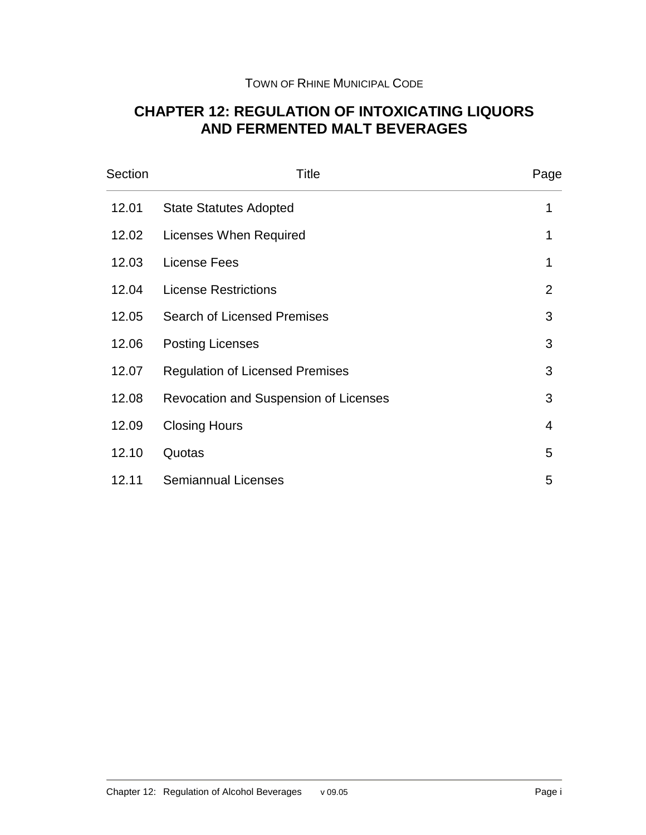# TOWN OF RHINE MUNICIPAL CODE

# **CHAPTER 12: REGULATION OF INTOXICATING LIQUORS AND FERMENTED MALT BEVERAGES**

| Section | <b>Title</b>                           | Page           |
|---------|----------------------------------------|----------------|
| 12.01   | <b>State Statutes Adopted</b>          | 1              |
| 12.02   | Licenses When Required                 | 1              |
| 12.03   | <b>License Fees</b>                    | 1              |
| 12.04   | <b>License Restrictions</b>            | $\overline{2}$ |
| 12.05   | <b>Search of Licensed Premises</b>     | 3              |
| 12.06   | <b>Posting Licenses</b>                | 3              |
| 12.07   | <b>Regulation of Licensed Premises</b> | 3              |
| 12.08   | Revocation and Suspension of Licenses  | 3              |
| 12.09   | <b>Closing Hours</b>                   | 4              |
| 12.10   | Quotas                                 | 5              |
| 12.11   | <b>Semiannual Licenses</b>             | 5              |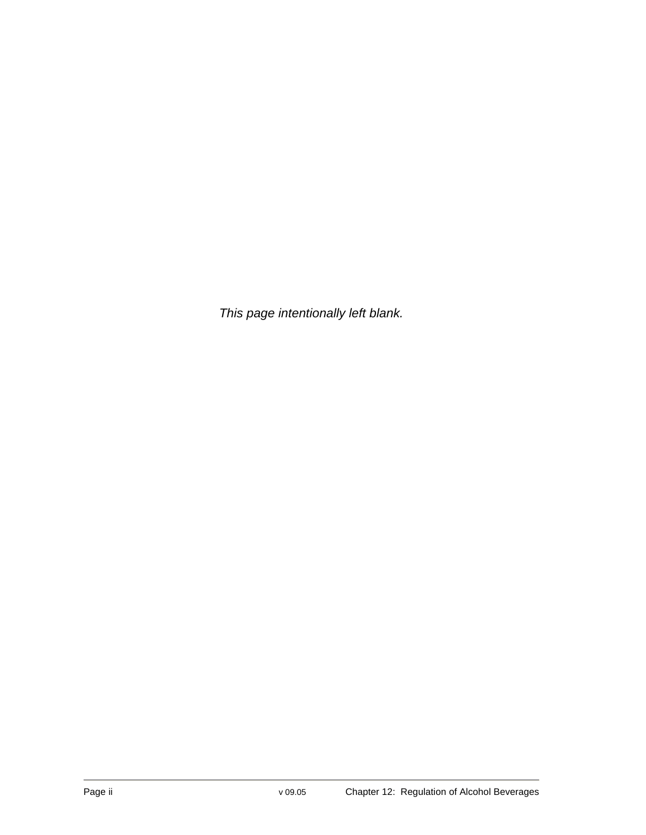*This page intentionally left blank.*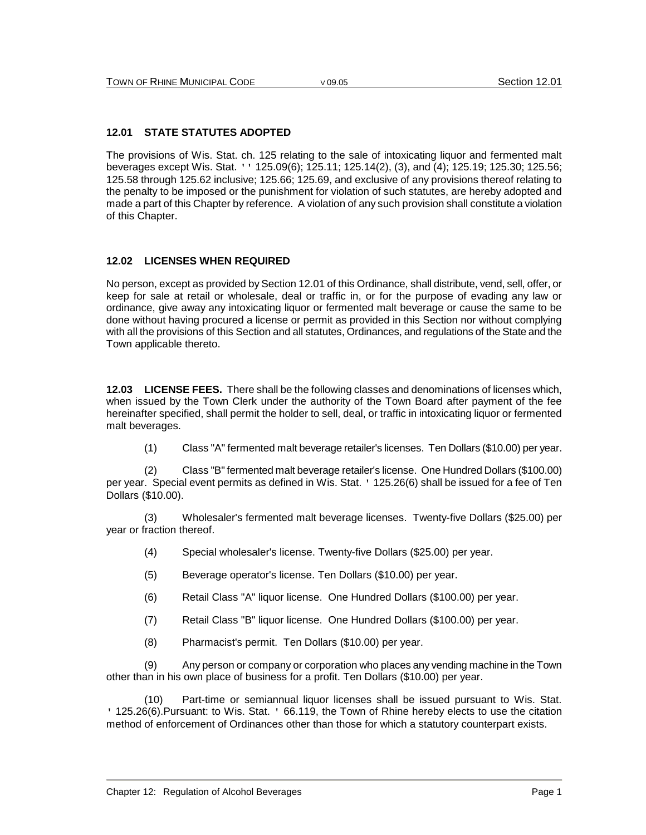#### **12.01 STATE STATUTES ADOPTED**

The provisions of Wis. Stat. ch. 125 relating to the sale of intoxicating liquor and fermented malt beverages except Wis. Stat. '' 125.09(6); 125.11; 125.14(2), (3), and (4); 125.19; 125.30; 125.56; 125.58 through 125.62 inclusive; 125.66; 125.69, and exclusive of any provisions thereof relating to the penalty to be imposed or the punishment for violation of such statutes, are hereby adopted and made a part of this Chapter by reference. A violation of any such provision shall constitute a violation of this Chapter.

#### **12.02 LICENSES WHEN REQUIRED**

No person, except as provided by Section 12.01 of this Ordinance, shall distribute, vend, sell, offer, or keep for sale at retail or wholesale, deal or traffic in, or for the purpose of evading any law or ordinance, give away any intoxicating liquor or fermented malt beverage or cause the same to be done without having procured a license or permit as provided in this Section nor without complying with all the provisions of this Section and all statutes, Ordinances, and regulations of the State and the Town applicable thereto.

**12.03 LICENSE FEES.** There shall be the following classes and denominations of licenses which, when issued by the Town Clerk under the authority of the Town Board after payment of the fee hereinafter specified, shall permit the holder to sell, deal, or traffic in intoxicating liquor or fermented malt beverages.

(1) Class "A" fermented malt beverage retailer's licenses. Ten Dollars (\$10.00) per year.

(2) Class "B" fermented malt beverage retailer's license. One Hundred Dollars (\$100.00) per year. Special event permits as defined in Wis. Stat. ' 125.26(6) shall be issued for a fee of Ten Dollars (\$10.00).

(3) Wholesaler's fermented malt beverage licenses. Twenty-five Dollars (\$25.00) per year or fraction thereof.

- (4) Special wholesaler's license. Twenty-five Dollars (\$25.00) per year.
- (5) Beverage operator's license. Ten Dollars (\$10.00) per year.
- (6) Retail Class "A" liquor license. One Hundred Dollars (\$100.00) per year.
- (7) Retail Class "B" liquor license. One Hundred Dollars (\$100.00) per year.
- (8) Pharmacist's permit. Ten Dollars (\$10.00) per year.

(9) Any person or company or corporation who places any vending machine in the Town other than in his own place of business for a profit. Ten Dollars (\$10.00) per year.

(10) Part-time or semiannual liquor licenses shall be issued pursuant to Wis. Stat. ' 125.26(6).Pursuant: to Wis. Stat. ' 66.119, the Town of Rhine hereby elects to use the citation method of enforcement of Ordinances other than those for which a statutory counterpart exists.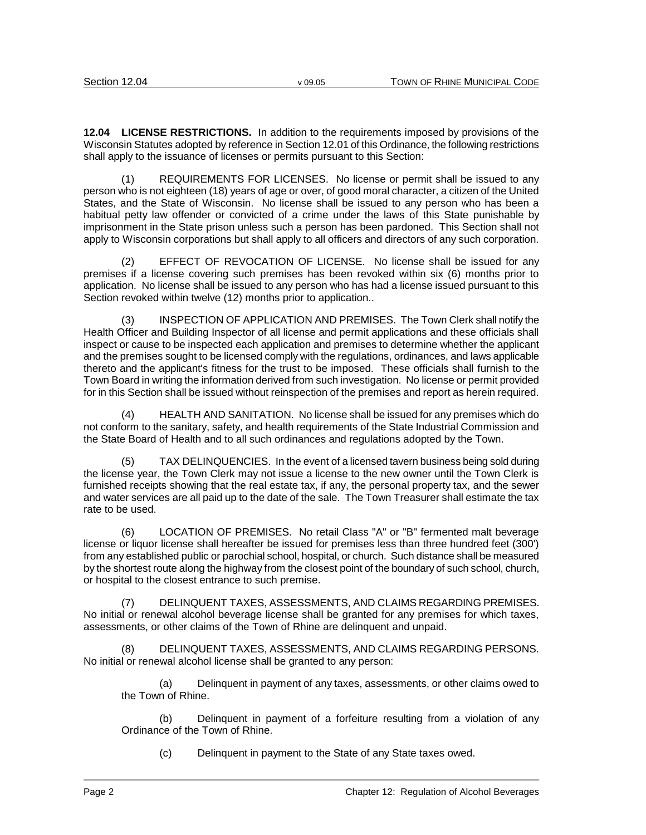**12.04 LICENSE RESTRICTIONS.** In addition to the requirements imposed by provisions of the Wisconsin Statutes adopted by reference in Section 12.01 of this Ordinance, the following restrictions shall apply to the issuance of licenses or permits pursuant to this Section:

(1) REQUIREMENTS FOR LICENSES. No license or permit shall be issued to any person who is not eighteen (18) years of age or over, of good moral character, a citizen of the United States, and the State of Wisconsin. No license shall be issued to any person who has been a habitual petty law offender or convicted of a crime under the laws of this State punishable by imprisonment in the State prison unless such a person has been pardoned. This Section shall not apply to Wisconsin corporations but shall apply to all officers and directors of any such corporation.

(2) EFFECT OF REVOCATION OF LICENSE. No license shall be issued for any premises if a license covering such premises has been revoked within six (6) months prior to application. No license shall be issued to any person who has had a license issued pursuant to this Section revoked within twelve (12) months prior to application..

(3) INSPECTION OF APPLICATION AND PREMISES. The Town Clerk shall notify the Health Officer and Building Inspector of all license and permit applications and these officials shall inspect or cause to be inspected each application and premises to determine whether the applicant and the premises sought to be licensed comply with the regulations, ordinances, and laws applicable thereto and the applicant's fitness for the trust to be imposed. These officials shall furnish to the Town Board in writing the information derived from such investigation. No license or permit provided for in this Section shall be issued without reinspection of the premises and report as herein required.

(4) HEALTH AND SANITATION. No license shall be issued for any premises which do not conform to the sanitary, safety, and health requirements of the State Industrial Commission and the State Board of Health and to all such ordinances and regulations adopted by the Town.

(5) TAX DELINQUENCIES. In the event of a licensed tavern business being sold during the license year, the Town Clerk may not issue a license to the new owner until the Town Clerk is furnished receipts showing that the real estate tax, if any, the personal property tax, and the sewer and water services are all paid up to the date of the sale. The Town Treasurer shall estimate the tax rate to be used.

(6) LOCATION OF PREMISES. No retail Class "A" or "B" fermented malt beverage license or liquor license shall hereafter be issued for premises less than three hundred feet (300') from any established public or parochial school, hospital, or church. Such distance shall be measured by the shortest route along the highway from the closest point of the boundary of such school, church, or hospital to the closest entrance to such premise.

(7) DELINQUENT TAXES, ASSESSMENTS, AND CLAIMS REGARDING PREMISES. No initial or renewal alcohol beverage license shall be granted for any premises for which taxes, assessments, or other claims of the Town of Rhine are delinquent and unpaid.

(8) DELINQUENT TAXES, ASSESSMENTS, AND CLAIMS REGARDING PERSONS. No initial or renewal alcohol license shall be granted to any person:

(a) Delinquent in payment of any taxes, assessments, or other claims owed to the Town of Rhine.

(b) Delinquent in payment of a forfeiture resulting from a violation of any Ordinance of the Town of Rhine.

(c) Delinquent in payment to the State of any State taxes owed.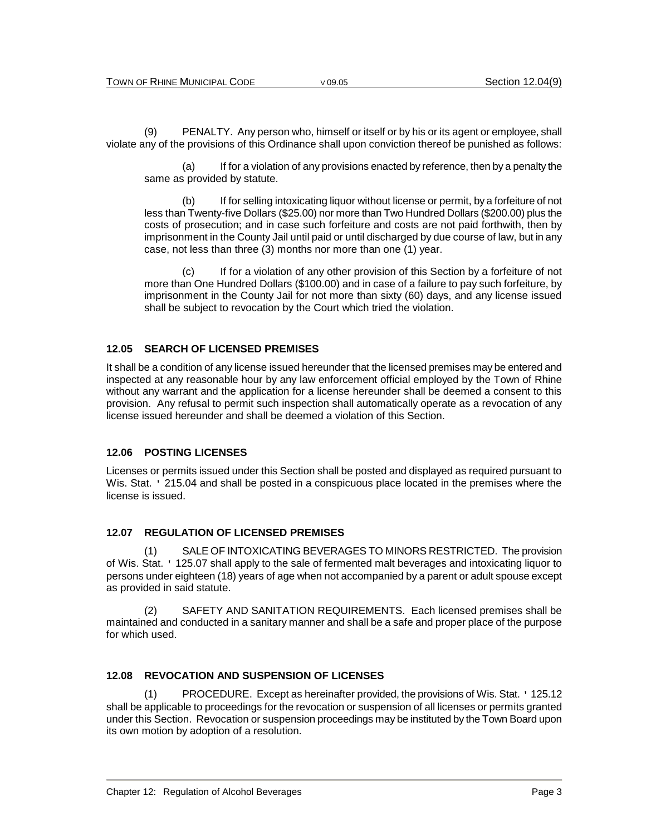(9) PENALTY. Any person who, himself or itself or by his or its agent or employee, shall violate any of the provisions of this Ordinance shall upon conviction thereof be punished as follows:

(a) If for a violation of any provisions enacted by reference, then by a penalty the same as provided by statute.

(b) If for selling intoxicating liquor without license or permit, by a forfeiture of not less than Twenty-five Dollars (\$25.00) nor more than Two Hundred Dollars (\$200.00) plus the costs of prosecution; and in case such forfeiture and costs are not paid forthwith, then by imprisonment in the County Jail until paid or until discharged by due course of law, but in any case, not less than three (3) months nor more than one (1) year.

(c) If for a violation of any other provision of this Section by a forfeiture of not more than One Hundred Dollars (\$100.00) and in case of a failure to pay such forfeiture, by imprisonment in the County Jail for not more than sixty (60) days, and any license issued shall be subject to revocation by the Court which tried the violation.

# **12.05 SEARCH OF LICENSED PREMISES**

It shall be a condition of any license issued hereunder that the licensed premises may be entered and inspected at any reasonable hour by any law enforcement official employed by the Town of Rhine without any warrant and the application for a license hereunder shall be deemed a consent to this provision. Any refusal to permit such inspection shall automatically operate as a revocation of any license issued hereunder and shall be deemed a violation of this Section.

# **12.06 POSTING LICENSES**

Licenses or permits issued under this Section shall be posted and displayed as required pursuant to Wis. Stat. ' 215.04 and shall be posted in a conspicuous place located in the premises where the license is issued.

# **12.07 REGULATION OF LICENSED PREMISES**

(1) SALE OF INTOXICATING BEVERAGES TO MINORS RESTRICTED. The provision of Wis. Stat. ' 125.07 shall apply to the sale of fermented malt beverages and intoxicating liquor to persons under eighteen (18) years of age when not accompanied by a parent or adult spouse except as provided in said statute.

(2) SAFETY AND SANITATION REQUIREMENTS. Each licensed premises shall be maintained and conducted in a sanitary manner and shall be a safe and proper place of the purpose for which used.

# **12.08 REVOCATION AND SUSPENSION OF LICENSES**

(1) PROCEDURE. Except as hereinafter provided, the provisions of Wis. Stat. ' 125.12 shall be applicable to proceedings for the revocation or suspension of all licenses or permits granted under this Section. Revocation or suspension proceedings may be instituted by the Town Board upon its own motion by adoption of a resolution.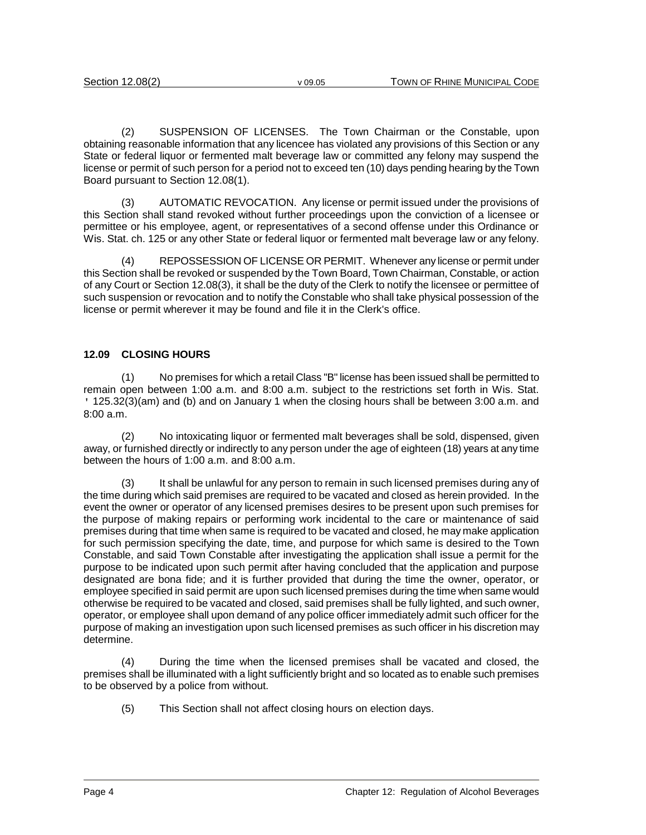(2) SUSPENSION OF LICENSES. The Town Chairman or the Constable, upon obtaining reasonable information that any licencee has violated any provisions of this Section or any State or federal liquor or fermented malt beverage law or committed any felony may suspend the license or permit of such person for a period not to exceed ten (10) days pending hearing by the Town Board pursuant to Section 12.08(1).

(3) AUTOMATIC REVOCATION. Any license or permit issued under the provisions of this Section shall stand revoked without further proceedings upon the conviction of a licensee or permittee or his employee, agent, or representatives of a second offense under this Ordinance or Wis. Stat. ch. 125 or any other State or federal liquor or fermented malt beverage law or any felony.

REPOSSESSION OF LICENSE OR PERMIT. Whenever any license or permit under this Section shall be revoked or suspended by the Town Board, Town Chairman, Constable, or action of any Court or Section 12.08(3), it shall be the duty of the Clerk to notify the licensee or permittee of such suspension or revocation and to notify the Constable who shall take physical possession of the license or permit wherever it may be found and file it in the Clerk's office.

# **12.09 CLOSING HOURS**

(1) No premises for which a retail Class "B" license has been issued shall be permitted to remain open between 1:00 a.m. and 8:00 a.m. subject to the restrictions set forth in Wis. Stat. ' 125.32(3)(am) and (b) and on January 1 when the closing hours shall be between 3:00 a.m. and 8:00 a.m.

(2) No intoxicating liquor or fermented malt beverages shall be sold, dispensed, given away, or furnished directly or indirectly to any person under the age of eighteen (18) years at any time between the hours of 1:00 a.m. and 8:00 a.m.

(3) It shall be unlawful for any person to remain in such licensed premises during any of the time during which said premises are required to be vacated and closed as herein provided. In the event the owner or operator of any licensed premises desires to be present upon such premises for the purpose of making repairs or performing work incidental to the care or maintenance of said premises during that time when same is required to be vacated and closed, he may make application for such permission specifying the date, time, and purpose for which same is desired to the Town Constable, and said Town Constable after investigating the application shall issue a permit for the purpose to be indicated upon such permit after having concluded that the application and purpose designated are bona fide; and it is further provided that during the time the owner, operator, or employee specified in said permit are upon such licensed premises during the time when same would otherwise be required to be vacated and closed, said premises shall be fully lighted, and such owner, operator, or employee shall upon demand of any police officer immediately admit such officer for the purpose of making an investigation upon such licensed premises as such officer in his discretion may determine.

(4) During the time when the licensed premises shall be vacated and closed, the premises shall be illuminated with a light sufficiently bright and so located as to enable such premises to be observed by a police from without.

(5) This Section shall not affect closing hours on election days.